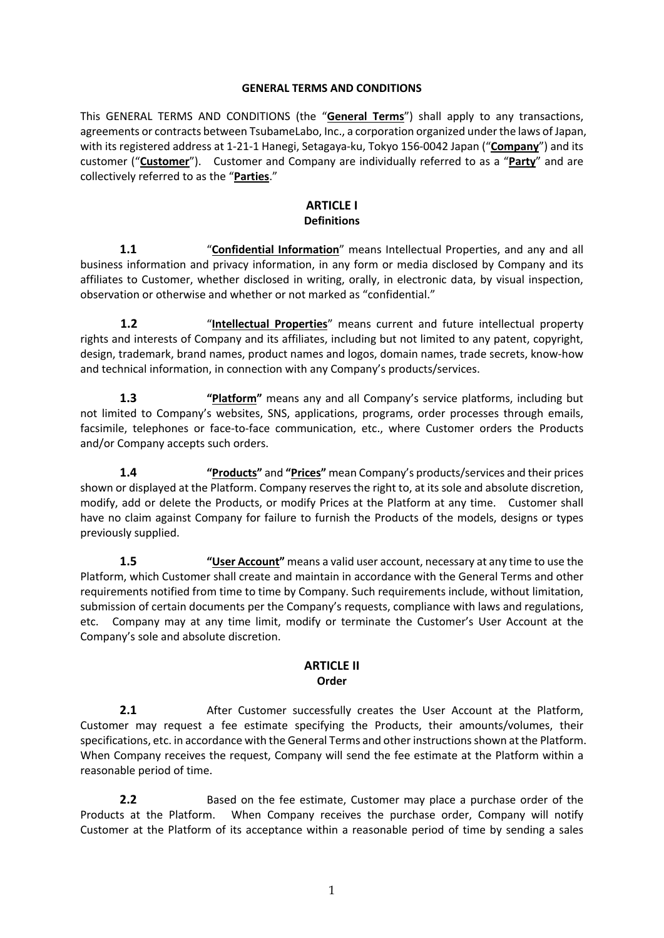#### **GENERAL TERMS AND CONDITIONS**

This GENERAL TERMS AND CONDITIONS (the "**General Terms**") shall apply to any transactions, agreements or contracts between TsubameLabo, Inc., a corporation organized under the laws of Japan, with its registered address at 1-21-1 Hanegi, Setagaya-ku, Tokyo 156-0042 Japan ("**Company**") and its customer ("**Customer**"). Customer and Company are individually referred to as a "**Party**" and are collectively referred to as the "**Parties**."

# **ARTICLE I Definitions**

**1.1** "**Confidential Information**" means Intellectual Properties, and any and all business information and privacy information, in any form or media disclosed by Company and its affiliates to Customer, whether disclosed in writing, orally, in electronic data, by visual inspection, observation or otherwise and whether or not marked as "confidential."

**1.2** "**Intellectual Properties**" means current and future intellectual property rights and interests of Company and its affiliates, including but not limited to any patent, copyright, design, trademark, brand names, product names and logos, domain names, trade secrets, know-how and technical information, in connection with any Company's products/services.

**1.3 "Platform"** means any and all Company's service platforms, including but not limited to Company's websites, SNS, applications, programs, order processes through emails, facsimile, telephones or face-to-face communication, etc., where Customer orders the Products and/or Company accepts such orders.

**1.4 "Products"** and **"Prices"** mean Company's products/services and their prices shown or displayed at the Platform. Company reserves the right to, at its sole and absolute discretion, modify, add or delete the Products, or modify Prices at the Platform at any time. Customer shall have no claim against Company for failure to furnish the Products of the models, designs or types previously supplied.

**1.5 "User Account"** means a valid user account, necessary at any time to use the Platform, which Customer shall create and maintain in accordance with the General Terms and other requirements notified from time to time by Company. Such requirements include, without limitation, submission of certain documents per the Company's requests, compliance with laws and regulations, etc. Company may at any time limit, modify or terminate the Customer's User Account at the Company's sole and absolute discretion.

# **ARTICLE II Order**

**2.1** After Customer successfully creates the User Account at the Platform, Customer may request a fee estimate specifying the Products, their amounts/volumes, their specifications, etc. in accordance with the General Terms and other instructions shown at the Platform. When Company receives the request, Company will send the fee estimate at the Platform within a reasonable period of time.

**2.2** Based on the fee estimate, Customer may place a purchase order of the Products at the Platform. When Company receives the purchase order, Company will notify Customer at the Platform of its acceptance within a reasonable period of time by sending a sales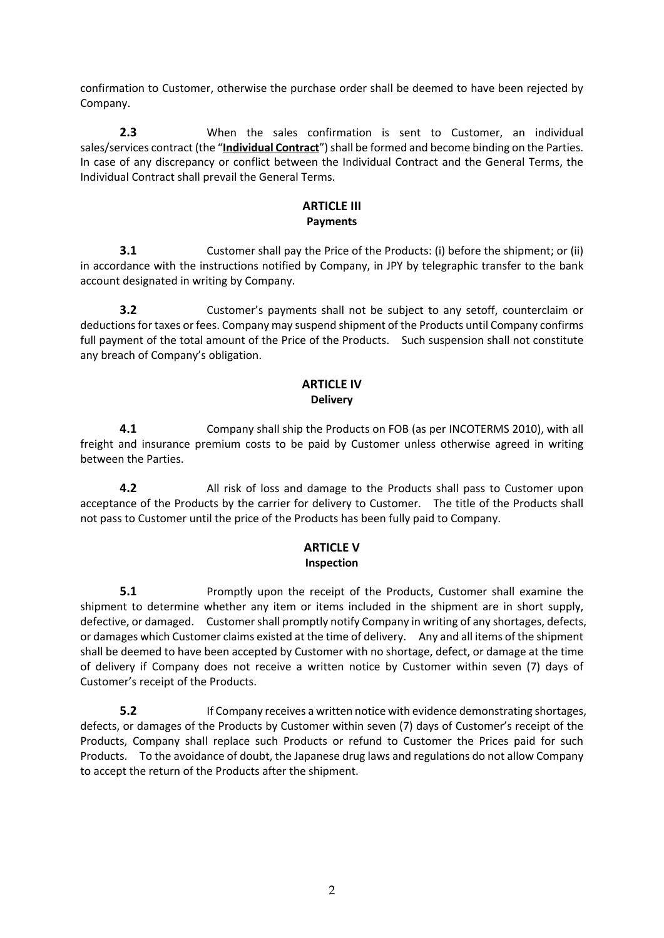confirmation to Customer, otherwise the purchase order shall be deemed to have been rejected by Company.

**2.3** When the sales confirmation is sent to Customer, an individual sales/services contract (the "**Individual Contract**") shall be formed and become binding on the Parties. In case of any discrepancy or conflict between the Individual Contract and the General Terms, the Individual Contract shall prevail the General Terms.

# **ARTICLE III Payments**

**3.1 Customer shall pay the Price of the Products: (i) before the shipment; or (ii)** in accordance with the instructions notified by Company, in JPY by telegraphic transfer to the bank account designated in writing by Company.

**3.2** Customer's payments shall not be subject to any setoff, counterclaim or deductions for taxes or fees. Company may suspend shipment of the Products until Company confirms full payment of the total amount of the Price of the Products. Such suspension shall not constitute any breach of Company's obligation.

#### **ARTICLE IV Delivery**

**4.1** Company shall ship the Products on FOB (as per INCOTERMS 2010), with all freight and insurance premium costs to be paid by Customer unless otherwise agreed in writing between the Parties.

**4.2** All risk of loss and damage to the Products shall pass to Customer upon acceptance of the Products by the carrier for delivery to Customer. The title of the Products shall not pass to Customer until the price of the Products has been fully paid to Company.

# **ARTICLE V Inspection**

**5.1 Promptly upon the receipt of the Products, Customer shall examine the** shipment to determine whether any item or items included in the shipment are in short supply, defective, or damaged. Customer shall promptly notify Company in writing of any shortages, defects, or damages which Customer claims existed at the time of delivery. Any and all items of the shipment shall be deemed to have been accepted by Customer with no shortage, defect, or damage at the time of delivery if Company does not receive a written notice by Customer within seven (7) days of Customer's receipt of the Products.

**5.2** If Company receives a written notice with evidence demonstrating shortages, defects, or damages of the Products by Customer within seven (7) days of Customer's receipt of the Products, Company shall replace such Products or refund to Customer the Prices paid for such Products. To the avoidance of doubt, the Japanese drug laws and regulations do not allow Company to accept the return of the Products after the shipment.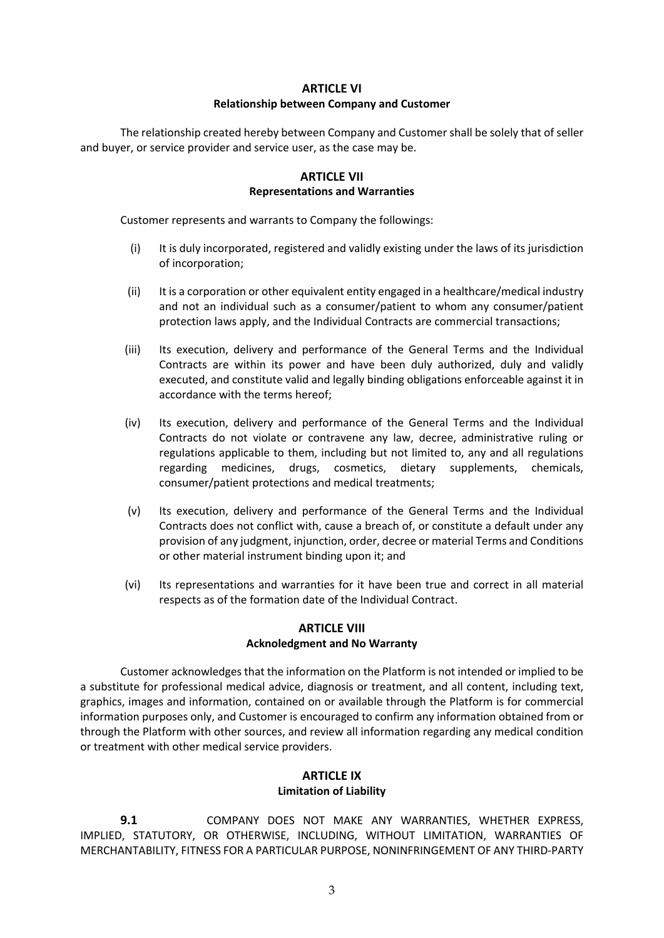#### **ARTICLE VI**

#### **Relationship between Company and Customer**

The relationship created hereby between Company and Customer shall be solely that of seller and buyer, or service provider and service user, as the case may be.

## **ARTICLE VII Representations and Warranties**

Customer represents and warrants to Company the followings:

- (i) It is duly incorporated, registered and validly existing under the laws of its jurisdiction of incorporation;
- (ii) It is a corporation or other equivalent entity engaged in a healthcare/medical industry and not an individual such as a consumer/patient to whom any consumer/patient protection laws apply, and the Individual Contracts are commercial transactions;
- (iii) Its execution, delivery and performance of the General Terms and the Individual Contracts are within its power and have been duly authorized, duly and validly executed, and constitute valid and legally binding obligations enforceable against it in accordance with the terms hereof;
- (iv) Its execution, delivery and performance of the General Terms and the Individual Contracts do not violate or contravene any law, decree, administrative ruling or regulations applicable to them, including but not limited to, any and all regulations regarding medicines, drugs, cosmetics, dietary supplements, chemicals, consumer/patient protections and medical treatments;
- (v) Its execution, delivery and performance of the General Terms and the Individual Contracts does not conflict with, cause a breach of, or constitute a default under any provision of any judgment, injunction, order, decree or material Terms and Conditions or other material instrument binding upon it; and
- (vi) Its representations and warranties for it have been true and correct in all material respects as of the formation date of the Individual Contract.

# **ARTICLE VIII Acknoledgment and No Warranty**

Customer acknowledges that the information on the Platform is not intended or implied to be a substitute for professional medical advice, diagnosis or treatment, and all content, including text, graphics, images and information, contained on or available through the Platform is for commercial information purposes only, and Customer is encouraged to confirm any information obtained from or through the Platform with other sources, and review all information regarding any medical condition or treatment with other medical service providers.

## **ARTICLE IX Limitation of Liability**

**9.1** COMPANY DOES NOT MAKE ANY WARRANTIES, WHETHER EXPRESS, IMPLIED, STATUTORY, OR OTHERWISE, INCLUDING, WITHOUT LIMITATION, WARRANTIES OF MERCHANTABILITY, FITNESS FOR A PARTICULAR PURPOSE, NONINFRINGEMENT OF ANY THIRD-PARTY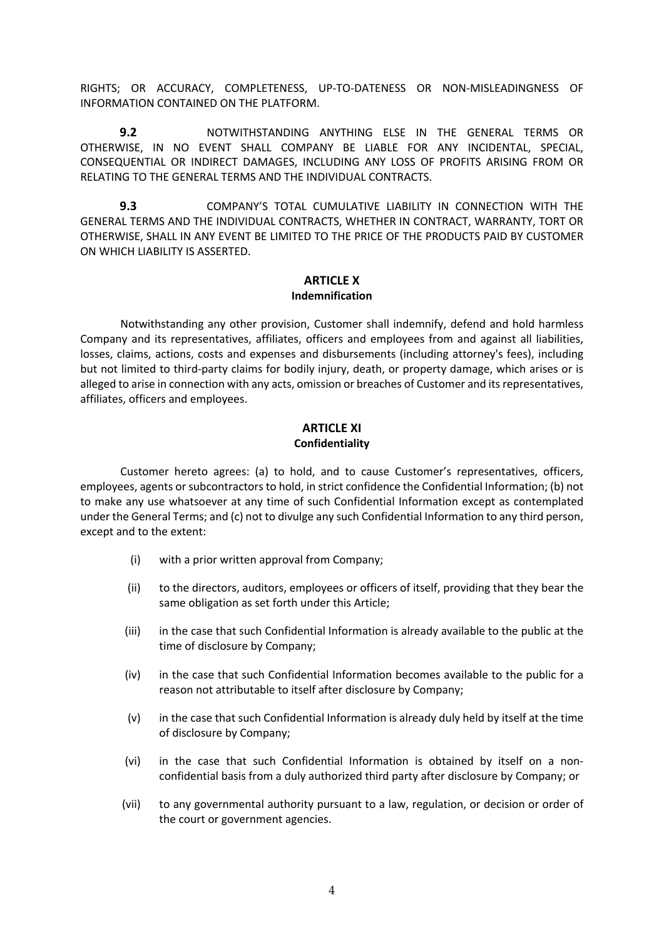RIGHTS; OR ACCURACY, COMPLETENESS, UP-TO-DATENESS OR NON-MISLEADINGNESS OF INFORMATION CONTAINED ON THE PLATFORM.

**9.2** NOTWITHSTANDING ANYTHING ELSE IN THE GENERAL TERMS OR OTHERWISE, IN NO EVENT SHALL COMPANY BE LIABLE FOR ANY INCIDENTAL, SPECIAL, CONSEQUENTIAL OR INDIRECT DAMAGES, INCLUDING ANY LOSS OF PROFITS ARISING FROM OR RELATING TO THE GENERAL TERMS AND THE INDIVIDUAL CONTRACTS.

**9.3** COMPANY'S TOTAL CUMULATIVE LIABILITY IN CONNECTION WITH THE GENERAL TERMS AND THE INDIVIDUAL CONTRACTS, WHETHER IN CONTRACT, WARRANTY, TORT OR OTHERWISE, SHALL IN ANY EVENT BE LIMITED TO THE PRICE OF THE PRODUCTS PAID BY CUSTOMER ON WHICH LIABILITY IS ASSERTED.

## **ARTICLE X Indemnification**

Notwithstanding any other provision, Customer shall indemnify, defend and hold harmless Company and its representatives, affiliates, officers and employees from and against all liabilities, losses, claims, actions, costs and expenses and disbursements (including attorney's fees), including but not limited to third-party claims for bodily injury, death, or property damage, which arises or is alleged to arise in connection with any acts, omission or breaches of Customer and its representatives, affiliates, officers and employees.

## **ARTICLE XI Confidentiality**

Customer hereto agrees: (a) to hold, and to cause Customer's representatives, officers, employees, agents or subcontractors to hold, in strict confidence the Confidential Information; (b) not to make any use whatsoever at any time of such Confidential Information except as contemplated under the General Terms; and (c) not to divulge any such Confidential Information to any third person, except and to the extent:

- (i) with a prior written approval from Company;
- (ii) to the directors, auditors, employees or officers of itself, providing that they bear the same obligation as set forth under this Article;
- (iii) in the case that such Confidential Information is already available to the public at the time of disclosure by Company;
- (iv) in the case that such Confidential Information becomes available to the public for a reason not attributable to itself after disclosure by Company;
- (v) in the case that such Confidential Information is already duly held by itself at the time of disclosure by Company;
- (vi) in the case that such Confidential Information is obtained by itself on a nonconfidential basis from a duly authorized third party after disclosure by Company; or
- (vii) to any governmental authority pursuant to a law, regulation, or decision or order of the court or government agencies.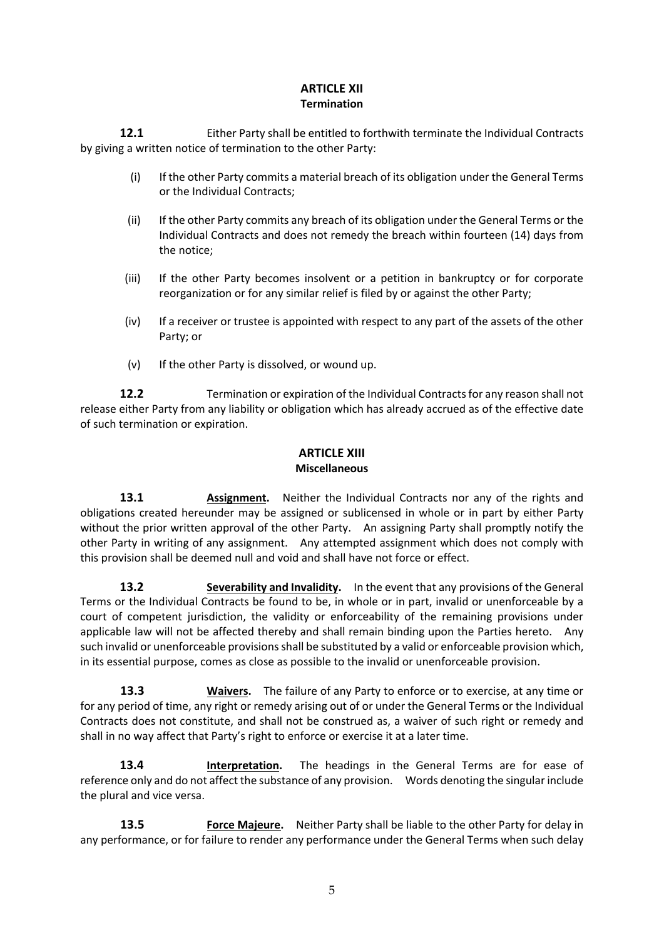# **ARTICLE XII Termination**

**12.1** Either Party shall be entitled to forthwith terminate the Individual Contracts by giving a written notice of termination to the other Party:

- (i) If the other Party commits a material breach of its obligation under the General Terms or the Individual Contracts;
- (ii) If the other Party commits any breach of its obligation under the General Terms or the Individual Contracts and does not remedy the breach within fourteen (14) days from the notice;
- (iii) If the other Party becomes insolvent or a petition in bankruptcy or for corporate reorganization or for any similar relief is filed by or against the other Party;
- (iv) If a receiver or trustee is appointed with respect to any part of the assets of the other Party; or
- (v) If the other Party is dissolved, or wound up.

**12.2 Termination or expiration of the Individual Contracts for any reason shall not** release either Party from any liability or obligation which has already accrued as of the effective date of such termination or expiration.

#### **ARTICLE XIII Miscellaneous**

**13.1 Assignment.** Neither the Individual Contracts nor any of the rights and obligations created hereunder may be assigned or sublicensed in whole or in part by either Party without the prior written approval of the other Party. An assigning Party shall promptly notify the other Party in writing of any assignment. Any attempted assignment which does not comply with this provision shall be deemed null and void and shall have not force or effect.

**13.2 Severability and Invalidity.** In the event that any provisions of the General Terms or the Individual Contracts be found to be, in whole or in part, invalid or unenforceable by a court of competent jurisdiction, the validity or enforceability of the remaining provisions under applicable law will not be affected thereby and shall remain binding upon the Parties hereto. Any such invalid or unenforceable provisions shall be substituted by a valid or enforceable provision which, in its essential purpose, comes as close as possible to the invalid or unenforceable provision.

**13.3 Waivers.** The failure of any Party to enforce or to exercise, at any time or for any period of time, any right or remedy arising out of or under the General Terms or the Individual Contracts does not constitute, and shall not be construed as, a waiver of such right or remedy and shall in no way affect that Party's right to enforce or exercise it at a later time.

**13.4 Interpretation.** The headings in the General Terms are for ease of reference only and do not affect the substance of any provision. Words denoting the singular include the plural and vice versa.

**13.5 Force Majeure.** Neither Party shall be liable to the other Party for delay in any performance, or for failure to render any performance under the General Terms when such delay